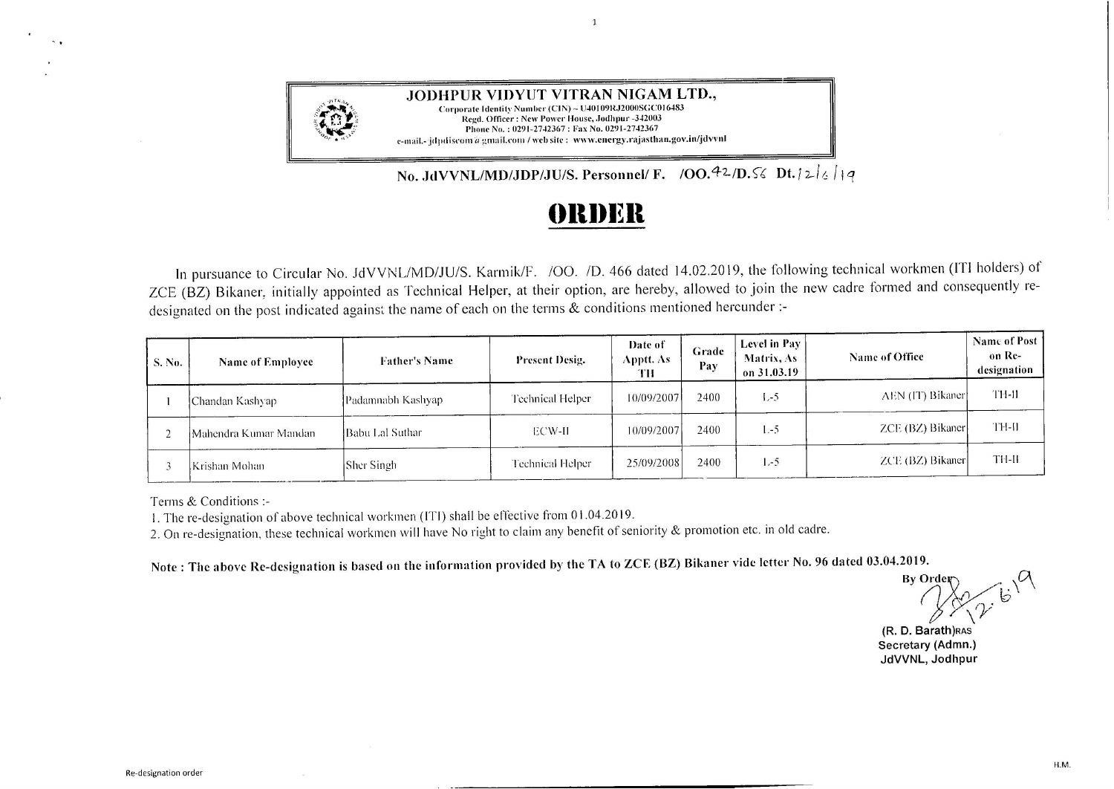

**JODHPUR VIDYUT VITRAN NIGAM LTD.,**  Corporate Identity Number (CIN) - U40109RJ2000SGC016483 Regd. Officer: New Power House, Jodhpur -342003 Phone No.: 0291-2742367: Fax No. 0291-2742367 e-mail.-jdpdiscom a gmail.com / web site: www.energy.rajasthan.gov.in/jdvvnl

**No. JdVVNL/MD/JDP/JU/S. Personnel/ F. /OO.** $42$ /D.  $\frac{1}{2}$  **Dt.**  $\frac{1}{2}$  |  $\frac{1}{4}$ 

## **f)lll)l~ll**

 $\mathbf{1}$ 

In pursuance to Circular No. JdVVNL/MD/JU/S. Karmik/F. /00. /D. 466 dated 14.02.2019, the following technical workmen (!Tl holders) of ZCE (BZ) Bikaner, initially appointed as Technical Helper, at their option, are hereby, allowed to join the new cadre formed and consequently redesignated on the post indicated against the name of each on the terms & conditions mentioned hereunder :-

| S. No. | Name of Employee      | <b>Father's Name</b> | <b>Present Desig.</b> | Date of<br>Apptt. As-<br>TH | Grade<br>Pay | Level in Pay<br><b>Matrix, As</b><br>on 31.03.19 | Name of Office   | Name of Post<br>on Re-<br>designation |
|--------|-----------------------|----------------------|-----------------------|-----------------------------|--------------|--------------------------------------------------|------------------|---------------------------------------|
|        | Chandan Kashyap       | Padamnabh Kashyap-   | Technical Helper      | 10/09/2007                  | 2400         | $L-5$                                            | AEN (IT) Bikaner | <b>TH-II</b>                          |
|        | Mahendra Kumar Mandan | Babu Lal Suthar      | ECW-II                | 10/09/2007                  | 2400         | $1 - 5$                                          | ZCE (BZ) Bikaner | TH-II                                 |
|        | lKrishan Mohan-       | <b>Sher Singh</b>    | Technical Helper      | 25/09/2008                  | 2400         | $1 - 5$                                          | ZCE (BZ) Bikaner | TH-II                                 |

Terms & Conditions :-

1. The re-designation of above technical workmen (I'Tl ) shall be effective from O 1.04.2019.

2. On re-designation, these technical workmen will have No right to claim any benefit of seniority & promotion etc. in old cadre.

**Note: The above Re-designation is based on the information provided by the TA to ZCE (BZ) Bikaner vide letter No. 96 dated 03.04.2019.** 

 $\frac{1}{\sqrt{2}}$ <br>By Order<br>Beathless<br>Beathless  $\mathcal{D}$   $\mathfrak{b}^{\prime}$  $\sqrt{\gamma}$ 

**(R. D. Barath)RAS Secretary (Admn.) JdVVNL, Jodhpur**